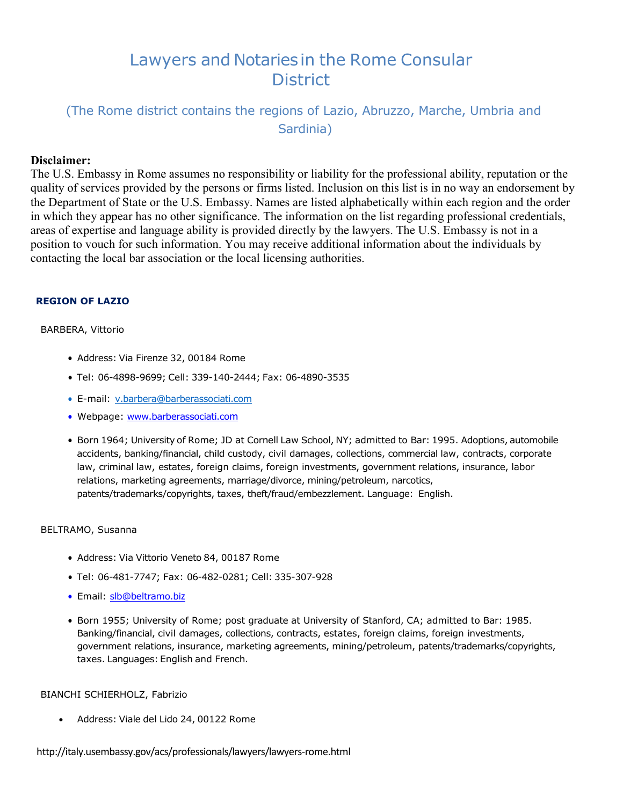# Lawyers and Notariesin the Rome Consular **District**

## (The Rome district contains the regions of Lazio, Abruzzo, Marche, Umbria and Sardinia)

## **Disclaimer:**

The U.S. Embassy in Rome assumes no responsibility or liability for the professional ability, reputation or the quality of services provided by the persons or firms listed. Inclusion on this list is in no way an endorsement by the Department of State or the U.S. Embassy. Names are listed alphabetically within each region and the order in which they appear has no other significance. The information on the list regarding professional credentials, areas of expertise and language ability is provided directly by the lawyers. The U.S. Embassy is not in a position to vouch for such information. You may receive additional information about the individuals by contacting the local bar association or the local licensing authorities.

## **REGION OF LAZIO**

#### BARBERA, Vittorio

- Address: Via Firenze 32, 00184 Rome
- Tel: 06-4898-9699; Cell: 339-140-2444; Fax: 06-4890-3535
- E-mail: [v.barbera@barberassociati.com](mailto:v.barbera@barberassociati.com)
- Webpage: [www.barberassociati.co](http://www.barberassociati.com/)m
- Born 1964; University of Rome; JD at Cornell Law School, NY; admitted to Bar: 1995. Adoptions, automobile accidents, banking/financial, child custody, civil damages, collections, commercial law, contracts, corporate law, criminal law, estates, foreign claims, foreign investments, government relations, insurance, labor relations, marketing agreements, marriage/divorce, mining/petroleum, narcotics, patents/trademarks/copyrights, taxes, theft/fraud/embezzlement. Language: English.

#### BELTRAMO, Susanna

- Address: Via Vittorio Veneto 84, 00187 Rome
- Tel: 06-481-7747; Fax: 06-482-0281; Cell: 335-307-928
- Email: [slb@beltramo.bi](mailto:slb@beltramo.biz)z
- Born 1955; University of Rome; post graduate at University of Stanford, CA; admitted to Bar: 1985. Banking/financial, civil damages, collections, contracts, estates, foreign claims, foreign investments, government relations, insurance, marketing agreements, mining/petroleum, patents/trademarks/copyrights, taxes. Languages: English and French.

#### BIANCHI SCHIERHOLZ, Fabrizio

• Address: Viale del Lido 24, 00122 Rome

<http://italy.usembassy.gov/acs/professionals/lawyers/lawyers-rome.html>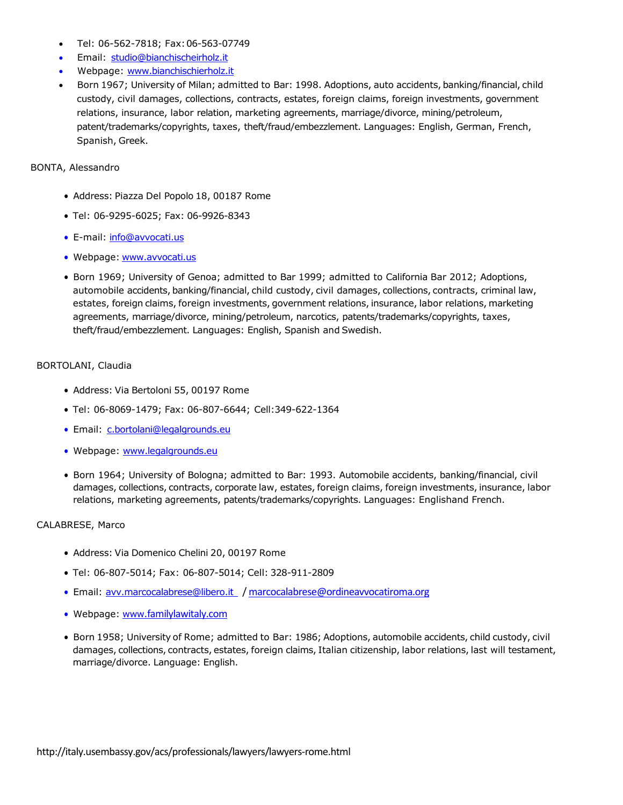- Tel: 06-562-7818; Fax:06-563-07749
- Email: [studio@bianchischeirholz.it](mailto:studio@bianchischeirholz.it)
- Webpage: [www.bianchischierholz.it](http://www.bianchischierholz.it/)
- Born 1967; University of Milan; admitted to Bar: 1998. Adoptions, auto accidents, banking/financial, child custody, civil damages, collections, contracts, estates, foreign claims, foreign investments, government relations, insurance, labor relation, marketing agreements, marriage/divorce, mining/petroleum, patent/trademarks/copyrights, taxes, theft/fraud/embezzlement. Languages: English, German, French, Spanish, Greek.

## BONTA, Alessandro

- Address: Piazza Del Popolo 18, 00187 Rome
- Tel: 06-9295-6025; Fax: 06-9926-8343
- E-mail: [info@avvocati.us](mailto:info@avvocati.us)
- Webpage: [www.avvocati.us](http://www.avvocati.us/)
- Born 1969; University of Genoa; admitted to Bar 1999; admitted to California Bar 2012; Adoptions, automobile accidents, banking/financial, child custody, civil damages, collections, contracts, criminal law, estates, foreign claims, foreign investments, government relations, insurance, labor relations, marketing agreements, marriage/divorce, mining/petroleum, narcotics, patents/trademarks/copyrights, taxes, theft/fraud/embezzlement. Languages: English, Spanish and Swedish.

#### BORTOLANI, Claudia

- Address: Via Bertoloni 55, 00197 Rome
- Tel: 06-8069-1479; Fax: 06-807-6644; Cell:349-622-1364
- Email: [c.bortolani@legalgrounds.e](mailto:c.bortolani@legalgrounds.eu)u
- Webpage: [www.legalgrounds.e](http://www.legalgrounds.eu/)u
- Born 1964; University of Bologna; admitted to Bar: 1993. Automobile accidents, banking/financial, civil damages, collections, contracts, corporate law, estates, foreign claims, foreign investments, insurance, labor relations, marketing agreements, patents/trademarks/copyrights. Languages: Englishand French.

#### CALABRESE, Marco

- Address: Via Domenico Chelini 20, 00197 Rome
- Tel: 06-807-5014; Fax: 06-807-5014; Cell: 328-911-2809
- Email: [avv.marcocalabrese@libero.i](mailto:avv.marcocalabrese@libero.it)t / [marcocalabrese@ordineavvocatiroma.org](mailto:marcocalabrese@ordineavvocatiroma.org)
- Webpage: www.[familylawitaly.com](http://www.familylawitaly.com/)
- Born 1958; University of Rome; admitted to Bar: 1986; Adoptions, automobile accidents, child custody, civil damages, collections, contracts, estates, foreign claims, Italian citizenship, labor relations, last will testament, marriage/divorce. Language: English.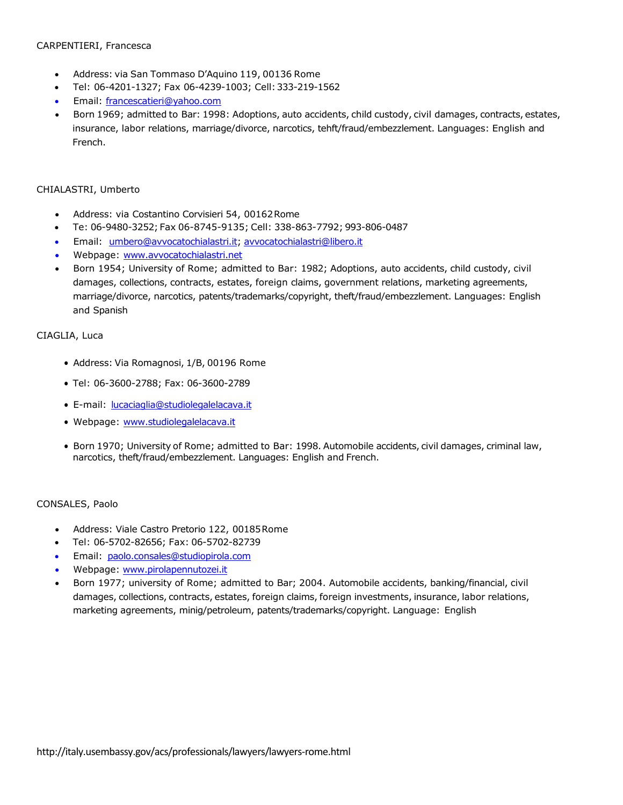#### CARPENTIERI, Francesca

- Address: via San Tommaso D'Aquino 119, 00136 Rome
- Tel: 06-4201-1327; Fax 06-4239-1003; Cell:333-219-1562
- Email: [francescatieri@yahoo.com](mailto:francescatieri@yahoo.com)
- Born 1969; admitted to Bar: 1998: Adoptions, auto accidents, child custody, civil damages, contracts, estates, insurance, labor relations, marriage/divorce, narcotics, tehft/fraud/embezzlement. Languages: English and French.

#### CHIALASTRI, Umberto

- Address: via Costantino Corvisieri 54, 00162Rome
- Te: 06-9480-3252; Fax 06-8745-9135; Cell: 338-863-7792; 993-806-0487
- Email: [umbero@avvocatochialastri.it;](mailto:umbero@avvocatochialastri.it) [avvocatochialastri@libero.it](mailto:avvocatochialastri@libero.it)
- Webpage: [www.avvocatochialastri.net](http://www.avvocatochialastri.net/)
- Born 1954; University of Rome; admitted to Bar: 1982; Adoptions, auto accidents, child custody, civil damages, collections, contracts, estates, foreign claims, government relations, marketing agreements, marriage/divorce, narcotics, patents/trademarks/copyright, theft/fraud/embezzlement. Languages: English and Spanish

#### CIAGLIA, Luca

- Address: Via Romagnosi, 1/B, 00196 Rome
- Tel: 06-3600-2788; Fax: 06-3600-2789
- E-mail: [lucaciaglia@studiolegalelacava.it](mailto:lucaciaglia@studiolegalelacava.it)
- Webpage: [www.studiolegalelacava.i](http://www.studiolegalelacava.it/)t
- Born 1970; University of Rome; admitted to Bar: 1998. Automobile accidents, civil damages, criminal law, narcotics, theft/fraud/embezzlement. Languages: English and French.

#### CONSALES, Paolo

- Address: Viale Castro Pretorio 122, 00185Rome
- Tel: 06-5702-82656; Fax: 06-5702-82739
- Email: [paolo.consales@studiopirola.com](mailto:paolo.consales@studiopirola.com)
- Webpage: [www.pirolapennutozei.it](http://www.pirolapennutozei.it/)
- Born 1977; university of Rome; admitted to Bar; 2004. Automobile accidents, banking/financial, civil damages, collections, contracts, estates, foreign claims, foreign investments, insurance, labor relations, marketing agreements, minig/petroleum, patents/trademarks/copyright. Language: English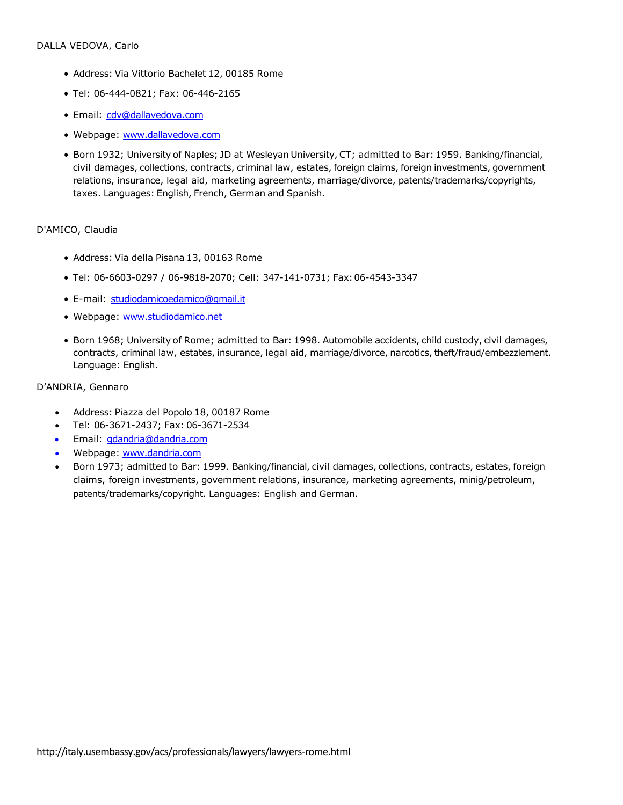- Address: Via Vittorio Bachelet 12, 00185 Rome
- Tel: 06-444-0821; Fax: 06-446-2165
- Email: [cdv@dallavedova.com](mailto:cdv@dallavedova.com)
- Webpage: [www.dallavedova.com](http://www.dallavedova.com/)
- Born 1932; University of Naples; JD at Wesleyan University, CT; admitted to Bar: 1959. Banking/financial, civil damages, collections, contracts, criminal law, estates, foreign claims, foreign investments, government relations, insurance, legal aid, marketing agreements, marriage/divorce, patents/trademarks/copyrights, taxes. Languages: English, French, German and Spanish.

#### D'AMICO, Claudia

- Address: Via della Pisana 13, 00163 Rome
- Tel: 06-6603-0297 / 06-9818-2070; Cell: 347-141-0731; Fax:06-4543-3347
- E-mail: [studiodamicoedamico@gmail.it](mailto:studiodamicoedamico@gmail.it)
- Webpage: [www.studiodamico.ne](http://www.studiodamico.net/)t
- Born 1968; University of Rome; admitted to Bar: 1998. Automobile accidents, child custody, civil damages, contracts, criminal law, estates, insurance, legal aid, marriage/divorce, narcotics, theft/fraud/embezzlement. Language: English.

#### D'ANDRIA, Gennaro

- Address: Piazza del Popolo 18, 00187 Rome
- Tel: 06-3671-2437; Fax: 06-3671-2534
- Email: [gdandria@dandria.com](mailto:gdandria@dandria.com)
- Webpage: [www.dandria.com](http://www.dandria.com/)
- Born 1973; admitted to Bar: 1999. Banking/financial, civil damages, collections, contracts, estates, foreign claims, foreign investments, government relations, insurance, marketing agreements, minig/petroleum, patents/trademarks/copyright. Languages: English and German.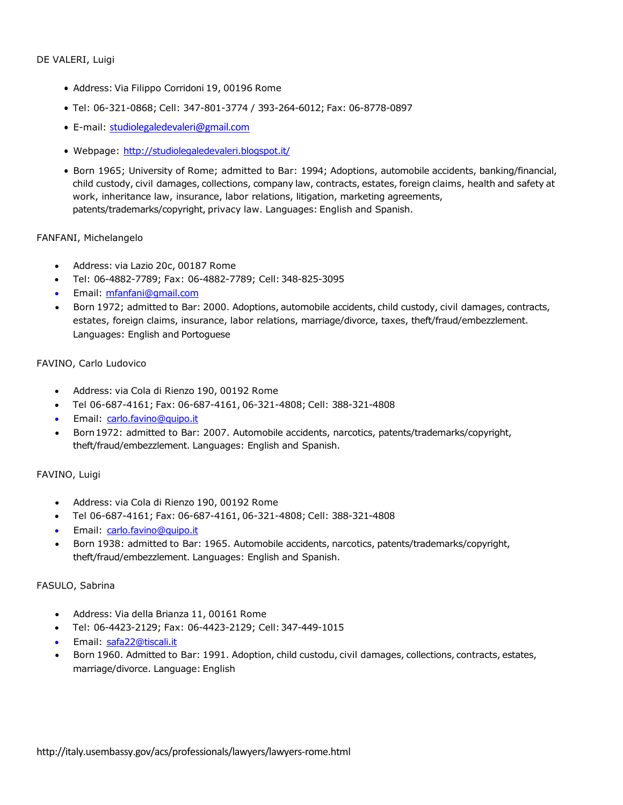- Address: Via Filippo Corridoni 19, 00196 Rome
- Tel: 06-321-0868; Cell: 347-801-3774 / 393-264-6012; Fax: 06-8778-0897
- E-mail: [studiolegaledevaleri@gmail.com](mailto:studiolegaledevaleri@gmail.com)
- Webpage: <http://studiolegaledevaleri.blogspot.it/>
- Born 1965; University of Rome; admitted to Bar: 1994; Adoptions, automobile accidents, banking/financial, child custody, civil damages, collections, company law, contracts, estates, foreign claims, health and safety at work, inheritance law, insurance, labor relations, litigation, marketing agreements, patents/trademarks/copyright, privacy law. Languages: English and Spanish.

#### FANFANI, Michelangelo

- Address: via Lazio 20c, 00187 Rome
- Tel: 06-4882-7789; Fax: 06-4882-7789; Cell:348-825-3095
- Email: [mfanfani@gmail.com](mailto:mfanfani@gmail.com)
- Born 1972; admitted to Bar: 2000. Adoptions, automobile accidents, child custody, civil damages, contracts, estates, foreign claims, insurance, labor relations, marriage/divorce, taxes, theft/fraud/embezzlement. Languages: English and Portoguese

#### FAVINO, Carlo Ludovico

- Address: via Cola di Rienzo 190, 00192 Rome
- Tel 06-687-4161; Fax: 06-687-4161, 06-321-4808; Cell: 388-321-4808
- Email: [carlo.favino@quipo.it](mailto:carlo.favino@quipo.it)
- Born1972: admitted to Bar: 2007. Automobile accidents, narcotics, patents/trademarks/copyright, theft/fraud/embezzlement. Languages: English and Spanish.

#### FAVINO, Luigi

- Address: via Cola di Rienzo 190, 00192 Rome
- Tel 06-687-4161; Fax: 06-687-4161, 06-321-4808; Cell: 388-321-4808
- Email: [carlo.favino@quipo.it](mailto:carlo.favino@quipo.it)
- Born 1938: admitted to Bar: 1965. Automobile accidents, narcotics, patents/trademarks/copyright, theft/fraud/embezzlement. Languages: English and Spanish.

#### FASULO, Sabrina

- Address: Via della Brianza 11, 00161 Rome
- Tel: 06-4423-2129; Fax: 06-4423-2129; Cell:347-449-1015
- Email: [safa22@tiscali.it](mailto:safa22@tiscali.it)
- Born 1960. Admitted to Bar: 1991. Adoption, child custodu, civil damages, collections, contracts, estates, marriage/divorce. Language: English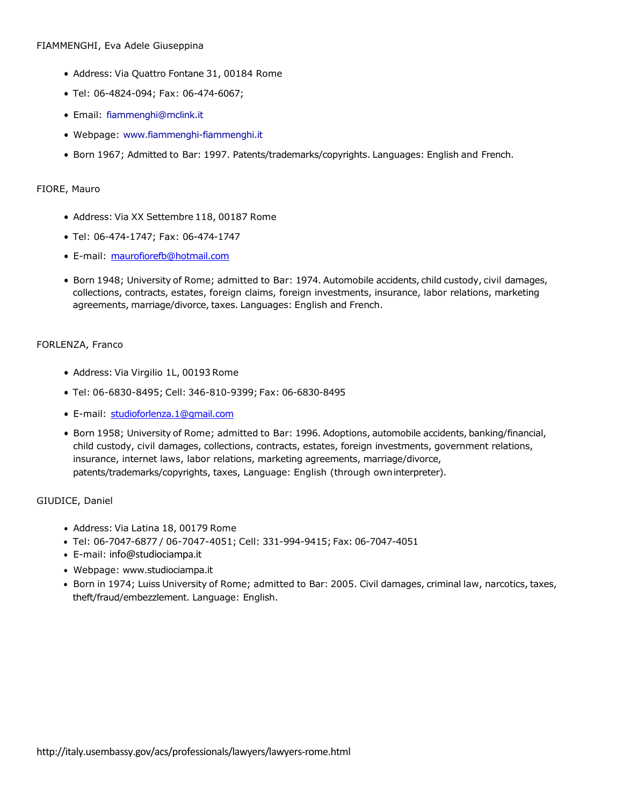#### FIAMMENGHI, Eva Adele Giuseppina

- Address: Via Quattro Fontane 31, 00184 Rome
- Tel: 06-4824-094; Fax: 06-474-6067;
- Email: [fiammenghi@mclink.it](mailto:fiammenghi@mclink.it)
- Webpage: [www.fiammenghi-fiammenghi.it](http://www.fiammenghi-fiammenghi.it/)
- Born 1967; Admitted to Bar: 1997. Patents/trademarks/copyrights. Languages: English and French.

#### FIORE, Mauro

- Address: Via XX Settembre 118, 00187 Rome
- Tel: 06-474-1747; Fax: 06-474-1747
- E-mail: [maurofiorefb@hotmail.co](mailto:maurofiorefb@hotmail.com)m
- Born 1948; University of Rome; admitted to Bar: 1974. Automobile accidents, child custody, civil damages, collections, contracts, estates, foreign claims, foreign investments, insurance, labor relations, marketing agreements, marriage/divorce, taxes. Languages: English and French.

#### FORLENZA, Franco

- Address: Via Virgilio 1L, 00193 Rome
- Tel: 06-6830-8495; Cell: 346-810-9399; Fax: 06-6830-8495
- E-mail: [studioforlenza.1@gmail.com](mailto:studioforlenza.1@gmail.com)
- Born 1958; University of Rome; admitted to Bar: 1996. Adoptions, automobile accidents, banking/financial, child custody, civil damages, collections, contracts, estates, foreign investments, government relations, insurance, internet laws, labor relations, marketing agreements, marriage/divorce, patents/trademarks/copyrights, taxes, Language: English (through owninterpreter).

#### GIUDICE, Daniel

- Address: Via Latina 18, 00179 Rome
- Tel: 06-7047-6877 / 06-7047-4051; Cell: 331-994-9415; Fax: 06-7047-4051
- E-mail: [info@studiociampa.i](mailto:info@studiociampa.it)t
- Webpage: [www.studiociampa.it](http://www.studiociampa.it/)
- Born in 1974; Luiss University of Rome; admitted to Bar: 2005. Civil damages, criminal law, narcotics, taxes, theft/fraud/embezzlement. Language: English.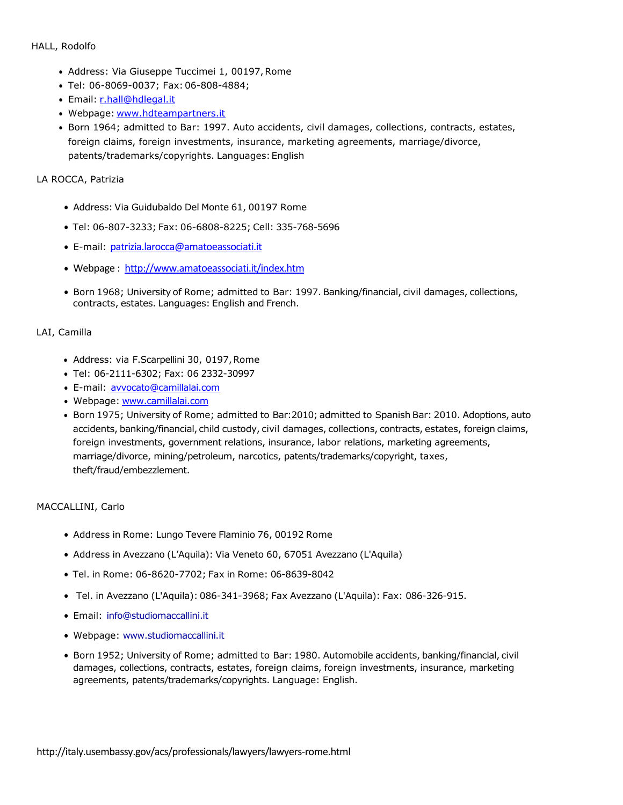#### HALL, Rodolfo

- Address: Via Giuseppe Tuccimei 1, 00197,Rome
- Tel: 06-8069-0037; Fax: 06-808-4884;
- Email: [r.hall@hdlegal.it](mailto:r.hall@hdlegal.it)
- Webpage: [www.hdteampartners.it](http://www.hdteampartners.it/)
- Born 1964; admitted to Bar: 1997. Auto accidents, civil damages, collections, contracts, estates, foreign claims, foreign investments, insurance, marketing agreements, marriage/divorce, patents/trademarks/copyrights. Languages: English

## LA ROCCA, Patrizia

- Address: Via Guidubaldo Del Monte 61, 00197 Rome
- Tel: 06-807-3233; Fax: 06-6808-8225; Cell: 335-768-5696
- E-mail: [patrizia.larocca@amatoeassociati.it](mailto:patrizia.larocca@amatoeassociati.it)
- Webpage : <http://www.amatoeassociati.it/index.htm>
- Born 1968; University of Rome; admitted to Bar: 1997. Banking/financial, civil damages, collections, contracts, estates. Languages: English and French.

## LAI, Camilla

- Address: via F.Scarpellini 30, 0197,Rome
- Tel: 06-2111-6302; Fax: 06 2332-30997
- E-mail: [avvocato@camillalai.com](mailto:avvocato@camillalai.com)
- Webpage: [www.camillalai.com](http://www.camillalai.com/)
- Born 1975; University of Rome; admitted to Bar:2010; admitted to Spanish Bar: 2010. Adoptions, auto accidents, banking/financial, child custody, civil damages, collections, contracts, estates, foreign claims, foreign investments, government relations, insurance, labor relations, marketing agreements, marriage/divorce, mining/petroleum, narcotics, patents/trademarks/copyright, taxes, theft/fraud/embezzlement.

#### MACCALLINI, Carlo

- Address in Rome: Lungo Tevere Flaminio 76, 00192 Rome
- Address in Avezzano (L'Aquila): Via Veneto 60, 67051 Avezzano (L'Aquila)
- Tel. in Rome: 06-8620-7702; Fax in Rome: 06-8639-8042
- Tel. in Avezzano (L'Aquila): 086-341-3968; Fax Avezzano (L'Aquila): Fax: 086-326-915.
- Email: [info@studiomaccallini.it](mailto:info@studiomaccallini.it)
- Webpage: [www.studiomaccallini.it](http://www.studiomaccallini.it/)
- Born 1952; University of Rome; admitted to Bar: 1980. Automobile accidents, banking/financial, civil damages, collections, contracts, estates, foreign claims, foreign investments, insurance, marketing agreements, patents/trademarks/copyrights. Language: English.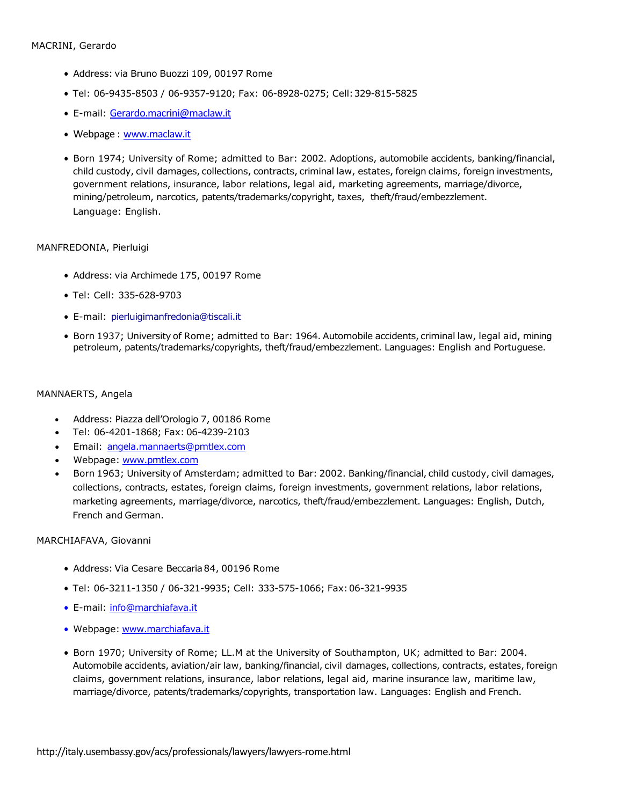- Address: via Bruno Buozzi 109, 00197 Rome
- Tel: 06-9435-8503 / 06-9357-9120; Fax: 06-8928-0275; Cell:329-815-5825
- E-mail: [Gerardo.macrini@maclaw.it](mailto:Gerardo.macrini@maclaw.it)
- Webpage : [www.maclaw.it](http://www.maclaw.it/)
- Born 1974; University of Rome; admitted to Bar: 2002. Adoptions, automobile accidents, banking/financial, child custody, civil damages, collections, contracts, criminal law, estates, foreign claims, foreign investments, government relations, insurance, labor relations, legal aid, marketing agreements, marriage/divorce, mining/petroleum, narcotics, patents/trademarks/copyright, taxes, theft/fraud/embezzlement. Language: English.

#### MANFREDONIA, Pierluigi

- Address: via Archimede 175, 00197 Rome
- Tel: Cell: 335-628-9703
- E-mail: [pierluigimanfredonia@tiscali.it](mailto:pierluigimanfredonia@tiscali.it)
- Born 1937; University of Rome; admitted to Bar: 1964. Automobile accidents, criminal law, legal aid, mining petroleum, patents/trademarks/copyrights, theft/fraud/embezzlement. Languages: English and Portuguese.

#### MANNAERTS, Angela

- Address: Piazza dell'Orologio 7, 00186 Rome
- Tel: 06-4201-1868; Fax: 06-4239-2103
- Email: [angela.mannaerts@pmtlex.com](mailto:angela.mannaerts@pmtlex.com)
- Webpage: [www.pmtlex.com](http://www.pmtlex.com/)
- Born 1963; University of Amsterdam; admitted to Bar: 2002. Banking/financial, child custody, civil damages, collections, contracts, estates, foreign claims, foreign investments, government relations, labor relations, marketing agreements, marriage/divorce, narcotics, theft/fraud/embezzlement. Languages: English, Dutch, French and German.

#### MARCHIAFAVA, Giovanni

- Address: Via Cesare Beccaria84, 00196 Rome
- Tel: 06-3211-1350 / 06-321-9935; Cell: 333-575-1066; Fax:06-321-9935
- E-mail: [info@marchiafava.i](mailto:info@marchiafava.it)t
- Webpage: [www.marchiafava.i](http://www.marchiafava.it/)t
- Born 1970; University of Rome; LL.M at the University of Southampton, UK; admitted to Bar: 2004. Automobile accidents, aviation/air law, banking/financial, civil damages, collections, contracts, estates, foreign claims, government relations, insurance, labor relations, legal aid, marine insurance law, maritime law, marriage/divorce, patents/trademarks/copyrights, transportation law. Languages: English and French.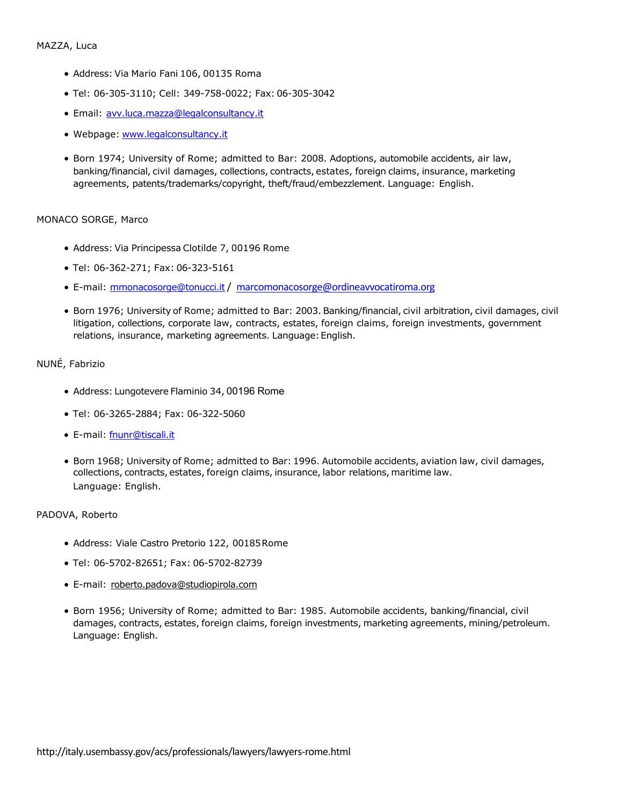- Address: Via Mario Fani 106, 00135 Roma
- Tel: 06-305-3110; Cell: 349-758-0022; Fax: 06-305-3042
- Email: [avv.luca.mazza@legalconsultancy.i](mailto:avv.luca.mazza@legalconsultancy.it)t
- Webpage: [www.legalconsultancy.i](http://www.legalconsultancy.it/)t
- Born 1974; University of Rome; admitted to Bar: 2008. Adoptions, automobile accidents, air law, banking/financial, civil damages, collections, contracts, estates, foreign claims, insurance, marketing agreements, patents/trademarks/copyright, theft/fraud/embezzlement. Language: English.

#### MONACO SORGE, Marco

- Address: Via Principessa Clotilde 7, 00196 Rome
- Tel: 06-362-271; Fax: 06-323-5161
- E-mail: [mmonacosorge@tonucci.i](mailto:mmonacosorge@tonucci.it)t/ [marcomonacosorge@ordineavvocatiroma.org](mailto:marcomonacosorge@ordineavvocatiroma.org)
- Born 1976; University of Rome; admitted to Bar: 2003. Banking/financial, civil arbitration, civil damages, civil litigation, collections, corporate law, contracts, estates, foreign claims, foreign investments, government relations, insurance, marketing agreements. Language: English.

## NUNÉ, Fabrizio

- Address: Lungotevere Flaminio 34, 00196 Rome
- Tel: 06-3265-2884; Fax: 06-322-5060
- E-mail: [fnunr@tiscali.it](mailto:fnunr@tiscali.it)
- Born 1968; University of Rome; admitted to Bar: 1996. Automobile accidents, aviation law, civil damages, collections, contracts, estates, foreign claims, insurance, labor relations, maritime law. Language: English.

#### PADOVA, Roberto

- Address: Viale Castro Pretorio 122, 00185Rome
- Tel: 06-5702-82651; Fax: 06-5702-82739
- E-mail: [roberto.padova@studiopirola.com](mailto:roberto.padova@studiopirola.com)
- Born 1956; University of Rome; admitted to Bar: 1985. Automobile accidents, banking/financial, civil damages, contracts, estates, foreign claims, foreign investments, marketing agreements, mining/petroleum. Language: English.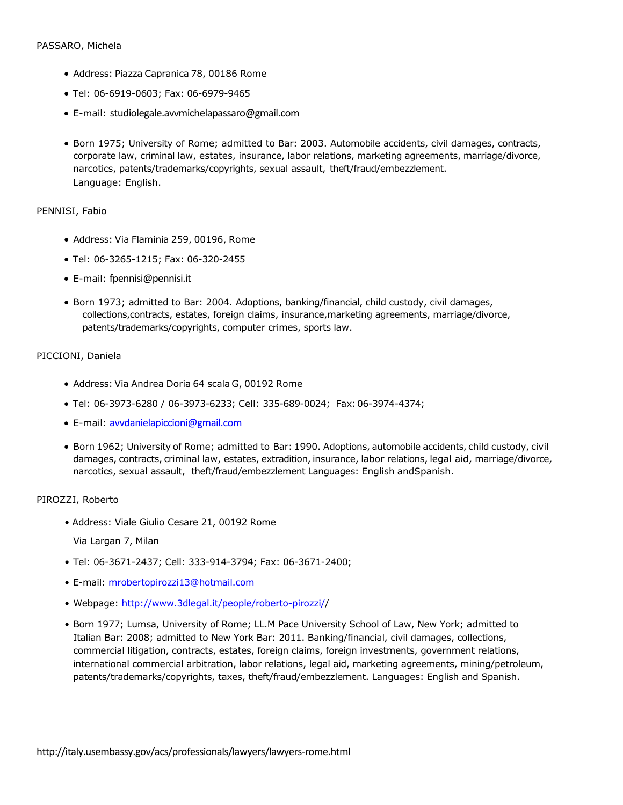- Address: Piazza Capranica 78, 00186 Rome
- Tel: 06-6919-0603; Fax: 06-6979-9465
- E-mail: [studiolegale.avvmichelapassaro@gmail.com](mailto:studiolegale.avvmichelapassaro@gmail.com)
- Born 1975; University of Rome; admitted to Bar: 2003. Automobile accidents, civil damages, contracts, corporate law, criminal law, estates, insurance, labor relations, marketing agreements, marriage/divorce, narcotics, patents/trademarks/copyrights, sexual assault, theft/fraud/embezzlement. Language: English.

#### PENNISI, Fabio

- Address: Via Flaminia 259, 00196, Rome
- Tel: 06-3265-1215; Fax: 06-320-2455
- E-mail: [fpennisi@pennisi.it](mailto:fpennisi@pennisi.it)
- Born 1973; admitted to Bar: 2004. Adoptions, banking/financial, child custody, civil damages, collections,contracts, estates, foreign claims, insurance,marketing agreements, marriage/divorce, patents/trademarks/copyrights, computer crimes, sports law.

#### PICCIONI, Daniela

- Address: Via Andrea Doria 64 scala G, 00192 Rome
- Tel: 06-3973-6280 / 06-3973-6233; Cell: 335-689-0024; Fax:06-3974-4374;
- E-mail: [avvdanielapiccioni@gmail.com](mailto:avvdanielapiccioni@gmail.com)
- Born 1962; University of Rome; admitted to Bar: 1990. Adoptions, automobile accidents, child custody, civil damages, contracts, criminal law, estates, extradition, insurance, labor relations, legal aid, marriage/divorce, narcotics, sexual assault, theft/fraud/embezzlement Languages: English andSpanish.

#### PIROZZI, Roberto

• Address: Viale Giulio Cesare 21, 00192 Rome

Via Largan 7, Milan

- Tel: 06-3671-2437; Cell: 333-914-3794; Fax: 06-3671-2400;
- E-mail: [mrobertopirozzi13@hotmail.com](mailto:mrobertopirozzi13@hotmail.com)
- Webpage: [http://www.3dlegal.it/people/roberto-pirozzi//](http://www.3dlegal.it/people/roberto-pirozzi/)
- Born 1977; Lumsa, University of Rome; LL.M Pace University School of Law, New York; admitted to Italian Bar: 2008; admitted to New York Bar: 2011. Banking/financial, civil damages, collections, commercial litigation, contracts, estates, foreign claims, foreign investments, government relations, international commercial arbitration, labor relations, legal aid, marketing agreements, mining/petroleum, patents/trademarks/copyrights, taxes, theft/fraud/embezzlement. Languages: English and Spanish.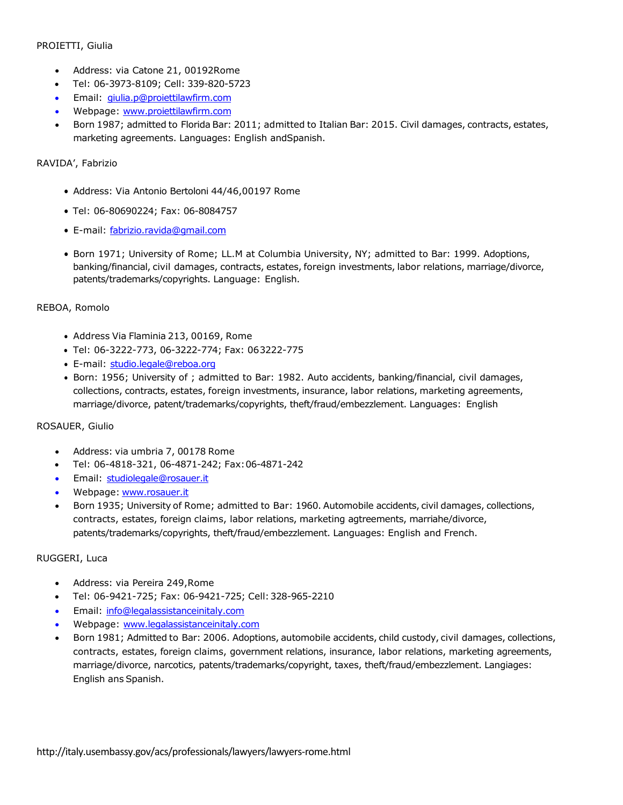## PROIETTI, Giulia

- Address: via Catone 21, 00192Rome
- Tel: 06-3973-8109; Cell: 339-820-5723
- Email: [giulia.p@proiettilawfirm.com](mailto:giulia.p@proiettilawfirm.com)
- Webpage: [www.proiettilawfirm.com](http://www.proiettilawfirm.com/)
- Born 1987; admitted to Florida Bar: 2011; admitted to Italian Bar: 2015. Civil damages, contracts, estates, marketing agreements. Languages: English andSpanish.

## RAVIDA', Fabrizio

- Address: Via Antonio Bertoloni 44/46,00197 Rome
- Tel: 06-80690224; Fax: 06-8084757
- E-mail: [fabrizio.ravida@gmail.co](mailto:fabrizio.ravida@gmail.com)m
- Born 1971; University of Rome; LL.M at Columbia University, NY; admitted to Bar: 1999. Adoptions, banking/financial, civil damages, contracts, estates, foreign investments, labor relations, marriage/divorce, patents/trademarks/copyrights. Language: English.

## REBOA, Romolo

- Address Via Flaminia 213, 00169, Rome
- Tel: 06-3222-773, 06-3222-774; Fax: 063222-775
- E-mail: [studio.legale@reboa.org](mailto:studio.legale@reboa.org)
- Born: 1956; University of ; admitted to Bar: 1982. Auto accidents, banking/financial, civil damages, collections, contracts, estates, foreign investments, insurance, labor relations, marketing agreements, marriage/divorce, patent/trademarks/copyrights, theft/fraud/embezzlement. Languages: English

#### ROSAUER, Giulio

- Address: via umbria 7, 00178 Rome
- Tel: 06-4818-321, 06-4871-242; Fax:06-4871-242
- Email: [studiolegale@rosauer.it](mailto:studiolegale@rosauer.it)
- Webpage: [www.rosauer.it](http://www.rosauer.it/)
- Born 1935; University of Rome; admitted to Bar: 1960. Automobile accidents, civil damages, collections, contracts, estates, foreign claims, labor relations, marketing agtreements, marriahe/divorce, patents/trademarks/copyrights, theft/fraud/embezzlement. Languages: English and French.

#### RUGGERI, Luca

- Address: via Pereira 249,Rome
- Tel: 06-9421-725; Fax: 06-9421-725; Cell:328-965-2210
- Email: [info@legalassistanceinitaly.com](mailto:info@legalassistanceinitaly.com)
- Webpage: [www.legalassistanceinitaly.com](http://www.legalassistanceinitaly.com/)
- Born 1981; Admitted to Bar: 2006. Adoptions, automobile accidents, child custody, civil damages, collections, contracts, estates, foreign claims, government relations, insurance, labor relations, marketing agreements, marriage/divorce, narcotics, patents/trademarks/copyright, taxes, theft/fraud/embezzlement. Langiages: English ans Spanish.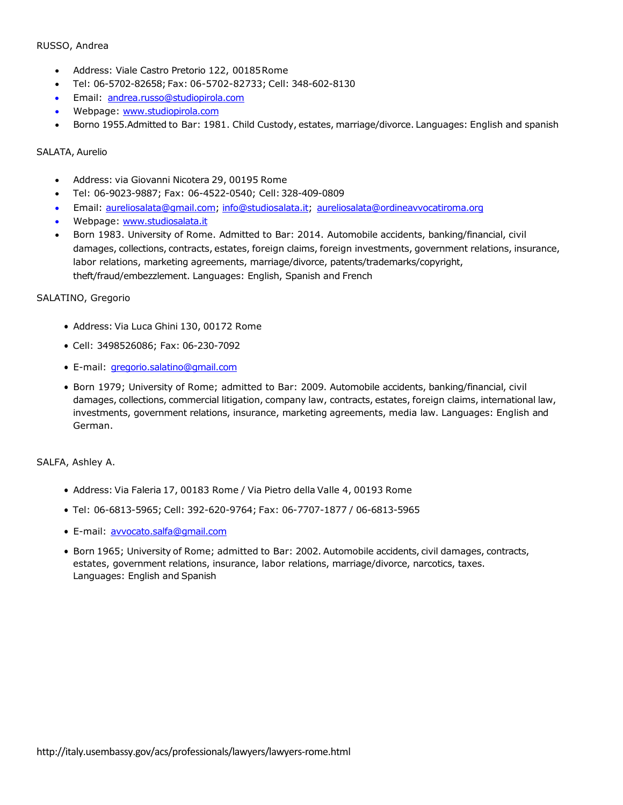#### RUSSO, Andrea

- Address: Viale Castro Pretorio 122, 00185Rome
- Tel: 06-5702-82658; Fax: 06-5702-82733; Cell: 348-602-8130
- Email: [andrea.russo@studiopirola.com](mailto:andrea.russo@studiopirola.com)
- Webpage: [www.studiopirola.com](http://www.studiopirola.com/)
- Borno 1955.Admitted to Bar: 1981. Child Custody, estates, marriage/divorce. Languages: English and spanish

#### SALATA, Aurelio

- Address: via Giovanni Nicotera 29, 00195 Rome
- Tel: 06-9023-9887; Fax: 06-4522-0540; Cell:328-409-0809
- Email: [aureliosalata@gmail.com;](mailto:aureliosalata@gmail.com) [info@studiosalata.it;](mailto:info@studiosalata.it) [aureliosalata@ordineavvocatiroma.org](mailto:aureliosalata@ordineavvocatiroma.org)
- Webpage: [www.studiosalata.it](http://www.studiosalata.it/)
- Born 1983. University of Rome. Admitted to Bar: 2014. Automobile accidents, banking/financial, civil damages, collections, contracts, estates, foreign claims, foreign investments, government relations, insurance, labor relations, marketing agreements, marriage/divorce, patents/trademarks/copyright, theft/fraud/embezzlement. Languages: English, Spanish and French

#### SALATINO, Gregorio

- Address: Via Luca Ghini 130, 00172 Rome
- Cell: 3498526086; Fax: 06-230-7092
- E-mail: [gregorio.salatino@gmail.com](mailto:gregorio.salatino@gmail.com)
- Born 1979; University of Rome; admitted to Bar: 2009. Automobile accidents, banking/financial, civil damages, collections, commercial litigation, company law, contracts, estates, foreign claims, international law, investments, government relations, insurance, marketing agreements, media law. Languages: English and German.

#### SALFA, Ashley A.

- Address: Via Faleria 17, 00183 Rome / Via Pietro della Valle 4, 00193 Rome
- Tel: 06-6813-5965; Cell: 392-620-9764; Fax: 06-7707-1877 / 06-6813-5965
- E-mail: [avvocato.salfa@gmail.com](mailto:avvocato.salfa@gmail.com)
- Born 1965; University of Rome; admitted to Bar: 2002. Automobile accidents, civil damages, contracts, estates, government relations, insurance, labor relations, marriage/divorce, narcotics, taxes. Languages: English and Spanish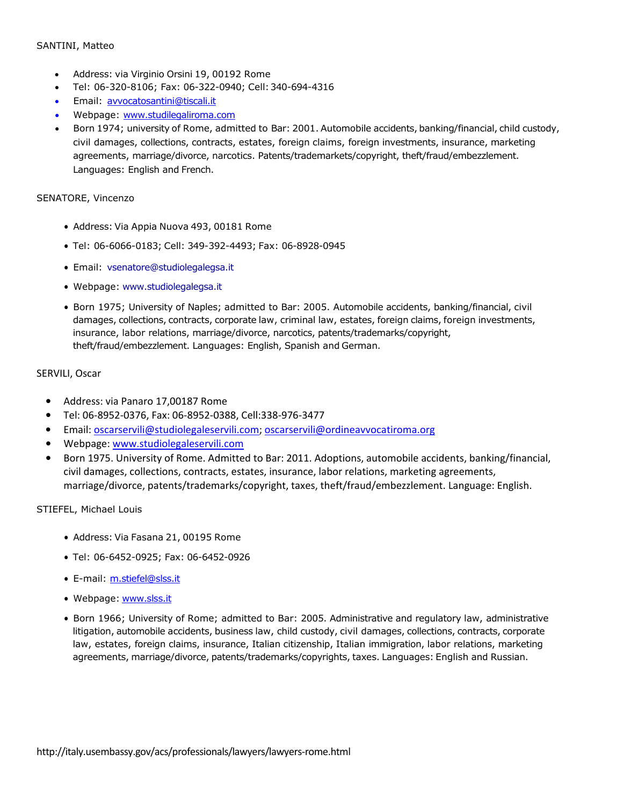#### SANTINI, Matteo

- Address: via Virginio Orsini 19, 00192 Rome
- Tel: 06-320-8106; Fax: 06-322-0940; Cell:340-694-4316
- Email: [avvocatosantini@tiscali.it](mailto:avvocatosantini@tiscali.it)
- Webpage: [www.studilegaliroma.com](http://www.studilegaliroma.com/)
- Born 1974; university of Rome, admitted to Bar: 2001. Automobile accidents, banking/financial, child custody, civil damages, collections, contracts, estates, foreign claims, foreign investments, insurance, marketing agreements, marriage/divorce, narcotics. Patents/trademarkets/copyright, theft/fraud/embezzlement. Languages: English and French.

#### SENATORE, Vincenzo

- Address: Via Appia Nuova 493, 00181 Rome
- Tel: 06-6066-0183; Cell: 349-392-4493; Fax: 06-8928-0945
- Email: [vsenatore@studiolegalegsa.it](mailto:vsenatore@studiolegalegsa.it)
- Webpage: [www.studiolegalegsa.it](http://www.studiolegalegsa.it/)
- Born 1975; University of Naples; admitted to Bar: 2005. Automobile accidents, banking/financial, civil damages, collections, contracts, corporate law, criminal law, estates, foreign claims, foreign investments, insurance, labor relations, marriage/divorce, narcotics, patents/trademarks/copyright, theft/fraud/embezzlement. Languages: English, Spanish and German.

#### SERVILI, Oscar

- Address: via Panaro 17,00187 Rome
- Tel: 06-8952-0376, Fax: 06-8952-0388, Cell:338-976-3477
- Email: [oscarservili@studiolegaleservili.com;](mailto:oscarservili@studiolegaleservili.com) [oscarservili@ordineavvocatiroma.org](mailto:oscarservili@ordineavvocatiroma.org)
- Webpage[: www.studiolegaleservili.com](http://www.studiolegaleservili.com/)
- Born 1975. University of Rome. Admitted to Bar: 2011. Adoptions, automobile accidents, banking/financial, civil damages, collections, contracts, estates, insurance, labor relations, marketing agreements, marriage/divorce, patents/trademarks/copyright, taxes, theft/fraud/embezzlement. Language: English.

#### STIEFEL, Michael Louis

- Address: Via Fasana 21, 00195 Rome
- Tel: 06-6452-0925; Fax: 06-6452-0926
- E-mail: [m.stiefel@slss.it](mailto:m.stiefel@slss.it)
- Webpage: [www.slss.it](http://www.slss.it/)
- Born 1966; University of Rome; admitted to Bar: 2005. Administrative and regulatory law, administrative litigation, automobile accidents, business law, child custody, civil damages, collections, contracts, corporate law, estates, foreign claims, insurance, Italian citizenship, Italian immigration, labor relations, marketing agreements, marriage/divorce, patents/trademarks/copyrights, taxes. Languages: English and Russian.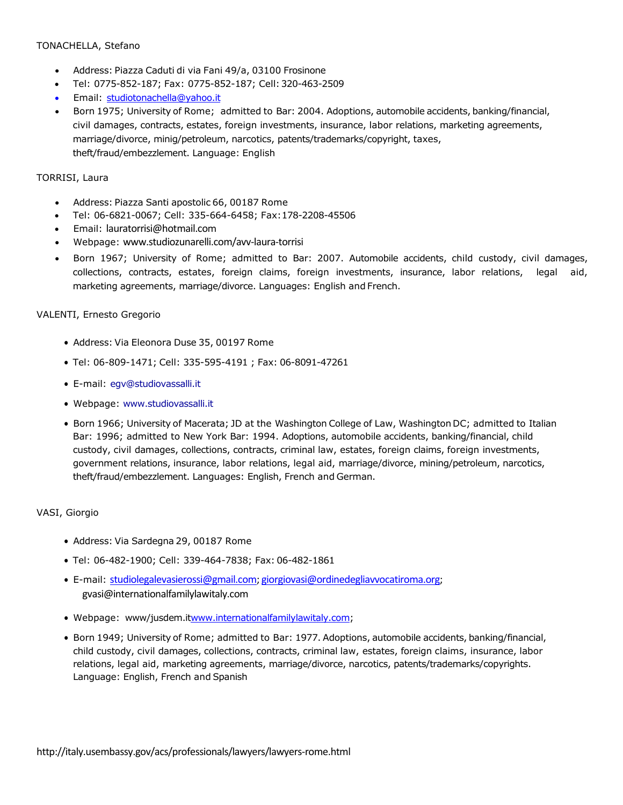## TONACHELLA, Stefano

- Address: Piazza Caduti di via Fani 49/a, 03100 Frosinone
- Tel: 0775-852-187; Fax: 0775-852-187; Cell:320-463-2509
- Email: [studiotonachella@yahoo.it](mailto:studiotonachella@yahoo.it)
- Born 1975; University of Rome; admitted to Bar: 2004. Adoptions, automobile accidents, banking/financial, civil damages, contracts, estates, foreign investments, insurance, labor relations, marketing agreements, marriage/divorce, minig/petroleum, narcotics, patents/trademarks/copyright, taxes, theft/fraud/embezzlement. Language: English

#### TORRISI, Laura

- Address: Piazza Santi apostolic 66, 00187 Rome
- Tel: 06-6821-0067; Cell: 335-664-6458; Fax:178-2208-45506
- Email: [lauratorrisi@hotmail.co](mailto:lauratorrisi@hotmail.com)m
- Webpage: [www.studiozunarelli.com/avv-laura-torrisi](http://www.studiozunarelli.com/avv-laura-torrisi)
- Born 1967; University of Rome; admitted to Bar: 2007. Automobile accidents, child custody, civil damages, collections, contracts, estates, foreign claims, foreign investments, insurance, labor relations, legal aid, marketing agreements, marriage/divorce. Languages: English and French.

#### VALENTI, Ernesto Gregorio

- Address: Via Eleonora Duse 35, 00197 Rome
- Tel: 06-809-1471; Cell: 335-595-4191 ; Fax: 06-8091-47261
- E-mail: [egv@studiovassalli.it](mailto:egv@studiovassalli.it)
- Webpage: [www.studiovassalli.it](http://www.studiovassalli.it/)
- Born 1966; University of Macerata; JD at the Washington College of Law, Washington DC; admitted to Italian Bar: 1996; admitted to New York Bar: 1994. Adoptions, automobile accidents, banking/financial, child custody, civil damages, collections, contracts, criminal law, estates, foreign claims, foreign investments, government relations, insurance, labor relations, legal aid, marriage/divorce, mining/petroleum, narcotics, theft/fraud/embezzlement. Languages: English, French and German.

#### VASI, Giorgio

- Address: Via Sardegna 29, 00187 Rome
- Tel: 06-482-1900; Cell: 339-464-7838; Fax: 06-482-1861
- E-mail: [studiolegalevasierossi@gmail.com;](mailto:studiolegalevasierossi@gmail.com) [giorgiovasi@ordinedegliavvocatiroma.org](mailto:studiolegalevasierossi@gmail.com)[;](mailto:gvasi@internationalfamilylawitaly.com) [gvasi@internationalfamilylawitaly.com](mailto:gvasi@internationalfamilylawitaly.com)
- Webpage: www/jusdem.i[twww.internationalfamilylawitaly.com;](http://www.internationalfamilylawitaly.com/)
- Born 1949; University of Rome; admitted to Bar: 1977. Adoptions, automobile accidents, banking/financial, child custody, civil damages, collections, contracts, criminal law, estates, foreign claims, insurance, labor relations, legal aid, marketing agreements, marriage/divorce, narcotics, patents/trademarks/copyrights. Language: English, French and Spanish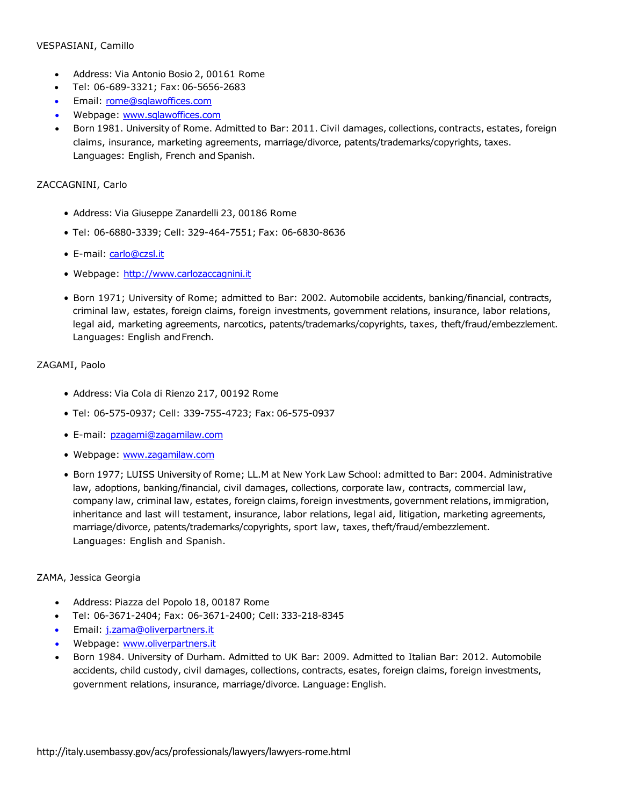#### VESPASIANI, Camillo

- Address: Via Antonio Bosio 2, 00161 Rome
- Tel: 06-689-3321; Fax: 06-5656-2683
- Email: [rome@sqlawoffices.com](mailto:rome@sqlawoffices.com)
- Webpage: [www.sqlawoffices.com](http://www.sqlawoffices.com/)
- Born 1981. University of Rome. Admitted to Bar: 2011. Civil damages, collections, contracts, estates, foreign claims, insurance, marketing agreements, marriage/divorce, patents/trademarks/copyrights, taxes. Languages: English, French and Spanish.

## ZACCAGNINI, Carlo

- Address: Via Giuseppe Zanardelli 23, 00186 Rome
- Tel: 06-6880-3339; Cell: 329-464-7551; Fax: 06-6830-8636
- E-mail: [carlo@czsl.it](mailto:carlo@czsl.it)
- Webpage: [http://www.carlozaccagnini.it](http://www.carlozaccagnini.it/)
- Born 1971; University of Rome; admitted to Bar: 2002. Automobile accidents, banking/financial, contracts, criminal law, estates, foreign claims, foreign investments, government relations, insurance, labor relations, legal aid, marketing agreements, narcotics, patents/trademarks/copyrights, taxes, theft/fraud/embezzlement. Languages: English andFrench.

## ZAGAMI, Paolo

- Address: Via Cola di Rienzo 217, 00192 Rome
- Tel: 06-575-0937; Cell: 339-755-4723; Fax: 06-575-0937
- E-mail: [pzagami@zagamilaw.com](mailto:pzagami@zagamilaw.com)
- Webpage: [www.zagamilaw.com](http://www.zagamilaw.com/)
- Born 1977; LUISS University of Rome; LL.M at New York Law School: admitted to Bar: 2004. Administrative law, adoptions, banking/financial, civil damages, collections, corporate law, contracts, commercial law, company law, criminal law, estates, foreign claims, foreign investments, government relations, immigration, inheritance and last will testament, insurance, labor relations, legal aid, litigation, marketing agreements, marriage/divorce, patents/trademarks/copyrights, sport law, taxes, theft/fraud/embezzlement. Languages: English and Spanish.

#### ZAMA, Jessica Georgia

- Address: Piazza del Popolo 18, 00187 Rome
- Tel: 06-3671-2404; Fax: 06-3671-2400; Cell:333-218-8345
- Email: [j.zama@oliverpartners.it](mailto:j.zama@oliverpartners.it)
- Webpage: [www.oliverpartners.it](http://www.oliverpartners.it/)
- Born 1984. University of Durham. Admitted to UK Bar: 2009. Admitted to Italian Bar: 2012. Automobile accidents, child custody, civil damages, collections, contracts, esates, foreign claims, foreign investments, government relations, insurance, marriage/divorce. Language: English.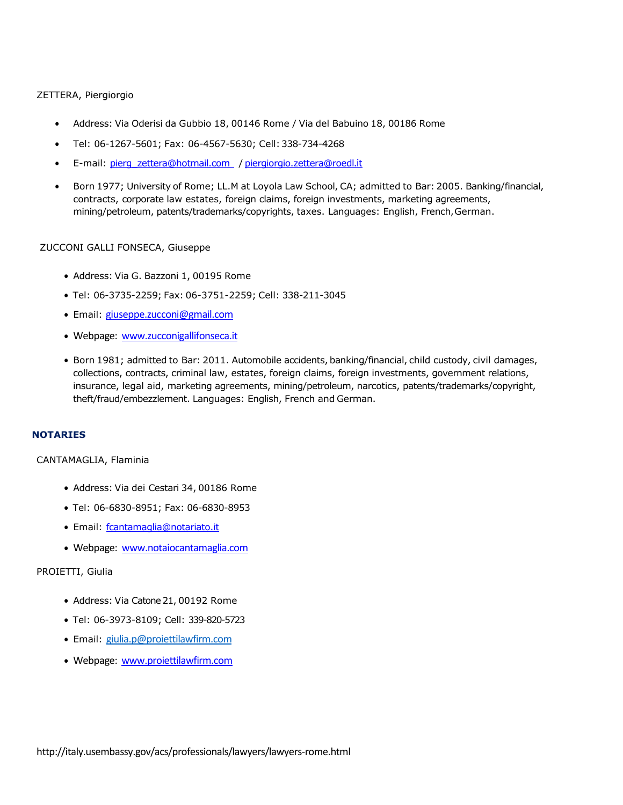ZETTERA, Piergiorgio

- Address: Via Oderisi da Gubbio 18, 00146 Rome / Via del Babuino 18, 00186 Rome
- Tel: 06-1267-5601; Fax: 06-4567-5630; Cell:338-734-4268
- E-mail: [pierg\\_zettera@hotmail.co](mailto:pierg_zettera@hotmail.com)m [/](mailto:pierg_zettera@hotmail.com) [piergiorgio.zettera@roedl](mailto:piergiorgio.zettera@roedl.it).it
- Born 1977; University of Rome; LL.M at Loyola Law School, CA; admitted to Bar: 2005. Banking/financial, contracts, corporate law estates, foreign claims, foreign investments, marketing agreements, mining/petroleum, patents/trademarks/copyrights, taxes. Languages: English, French,German.

#### ZUCCONI GALLI FONSECA, Giuseppe

- Address: Via G. Bazzoni 1, 00195 Rome
- Tel: 06-3735-2259; Fax: 06-3751-2259; Cell: 338-211-3045
- Email: [giuseppe.zucconi@gmail.com](mailto:giuseppe.zucconi@gmail.com)
- Webpage: [www.zucconigallifonseca.it](http://www.zucconigallifonseca.it/)
- Born 1981; admitted to Bar: 2011. Automobile accidents, banking/financial, child custody, civil damages, collections, contracts, criminal law, estates, foreign claims, foreign investments, government relations, insurance, legal aid, marketing agreements, mining/petroleum, narcotics, patents/trademarks/copyright, theft/fraud/embezzlement. Languages: English, French and German.

#### **NOTARIES**

#### CANTAMAGLIA, Flaminia

- Address: Via dei Cestari 34, 00186 Rome
- Tel: 06-6830-8951; Fax: 06-6830-8953
- Email: [fcantamaglia@notariato.i](mailto:fcantamaglia@notariato.it)t
- Webpage: [www.notaiocantamaglia.com](http://www.notaiocantamaglia.com/)

## PROIETTI, Giulia

- Address: Via Catone 21, 00192 Rome
- Tel: 06-3973-8109; Cell: 339-820-5723
- Email: [giulia.p@proiettilawfirm.com](mailto:giulia.p@proiettilawfirm.com)
- Webpage: [www.proiettilawfirm.com](http://www.proiettilawfirm.com/)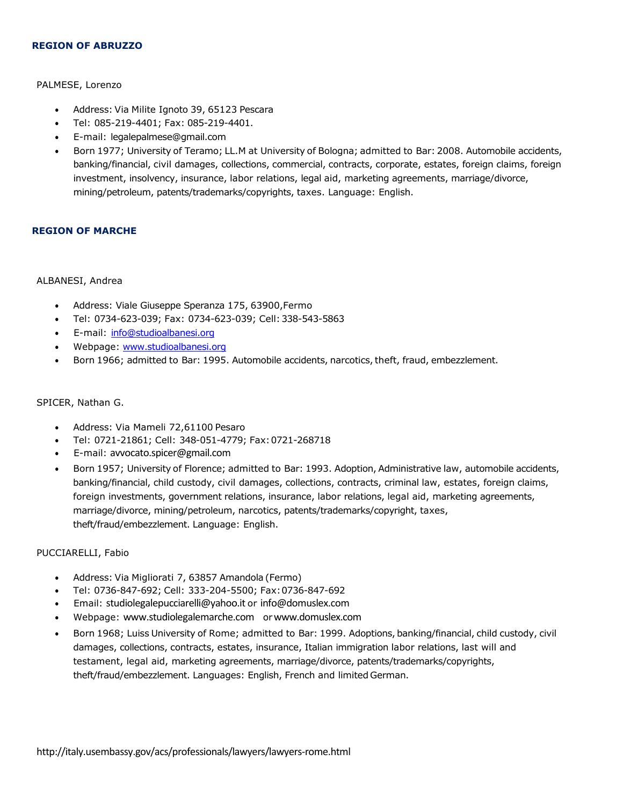#### **REGION OF ABRUZZO**

#### PALMESE, Lorenzo

- Address: Via Milite Ignoto 39, 65123 Pescara
- Tel: 085-219-4401; Fax: 085-219-4401.
- E-mail: [legalepalmese@gmail.com](mailto:legalepalmese@gmail.com)
- Born 1977; University of Teramo; LL.M at University of Bologna; admitted to Bar: 2008. Automobile accidents, banking/financial, civil damages, collections, commercial, contracts, corporate, estates, foreign claims, foreign investment, insolvency, insurance, labor relations, legal aid, marketing agreements, marriage/divorce, mining/petroleum, patents/trademarks/copyrights, taxes. Language: English.

#### **REGION OF MARCHE**

#### ALBANESI, Andrea

- Address: Viale Giuseppe Speranza 175, 63900,Fermo
- Tel: 0734-623-039; Fax: 0734-623-039; Cell:338-543-5863
- E-mail: [info@studioalbanesi.org](mailto:info@studioalbanesi.org)
- Webpage: [www.studioalbanesi.org](http://www.studioalbanesi.org/)
- Born 1966; admitted to Bar: 1995. Automobile accidents, narcotics, theft, fraud, embezzlement.

#### SPICER, Nathan G.

- Address: Via Mameli 72,61100 Pesaro
- Tel: 0721-21861; Cell: 348-051-4779; Fax:0721-268718
- E-mail: [avvocato.spicer@gmail.com](mailto:avvocato.spicer@gmail.com)
- Born 1957; University of Florence; admitted to Bar: 1993. Adoption, Administrative law, automobile accidents, banking/financial, child custody, civil damages, collections, contracts, criminal law, estates, foreign claims, foreign investments, government relations, insurance, labor relations, legal aid, marketing agreements, marriage/divorce, mining/petroleum, narcotics, patents/trademarks/copyright, taxes, theft/fraud/embezzlement. Language: English.

#### PUCCIARELLI, Fabio

- Address: Via Migliorati 7, 63857 Amandola (Fermo)
- Tel: 0736-847-692; Cell: 333-204-5500; Fax:0736-847-692
- Email: [studiolegalepucciarelli@yahoo.it](mailto:studiolegalepucciarelli@yahoo.it) or [info@domuslex.com](mailto:info@domuslex.com)
- Webpage: [www.studiolegalemarche.com](http://www.studiolegalemarche.com/) or[www.domuslex.com](http://www.domuslex.com/)
- Born 1968; Luiss University of Rome; admitted to Bar: 1999. Adoptions, banking/financial, child custody, civil damages, collections, contracts, estates, insurance, Italian immigration labor relations, last will and testament, legal aid, marketing agreements, marriage/divorce, patents/trademarks/copyrights, theft/fraud/embezzlement. Languages: English, French and limited German.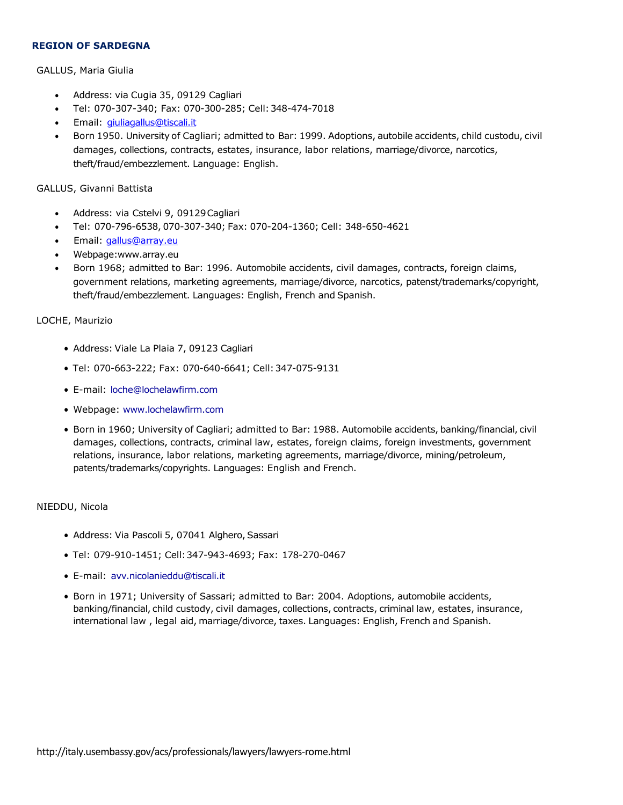#### **REGION OF SARDEGNA**

#### GALLUS, Maria Giulia

- Address: via Cugia 35, 09129 Cagliari
- Tel: 070-307-340; Fax: 070-300-285; Cell:348-474-7018
- Email: [giuliagallus@tiscali.it](mailto:giuliagallus@tiscali.it)
- Born 1950. University of Cagliari; admitted to Bar: 1999. Adoptions, autobile accidents, child custodu, civil damages, collections, contracts, estates, insurance, labor relations, marriage/divorce, narcotics, theft/fraud/embezzlement. Language: English.

#### GALLUS, Givanni Battista

- Address: via Cstelvi 9, 09129Cagliari
- Tel: 070-796-6538, 070-307-340; Fax: 070-204-1360; Cell: 348-650-4621
- Email: [gallus@array.eu](mailto:gallus@array.eu)
- Webpage[:www.array.eu](http://www.array.eu/)
- Born 1968; admitted to Bar: 1996. Automobile accidents, civil damages, contracts, foreign claims, government relations, marketing agreements, marriage/divorce, narcotics, patenst/trademarks/copyright, theft/fraud/embezzlement. Languages: English, French and Spanish.

#### LOCHE, Maurizio

- Address: Viale La Plaia 7, 09123 Cagliari
- Tel: 070-663-222; Fax: 070-640-6641; Cell:347-075-9131
- E-mail: [loche@lochelawfirm.com](mailto:loche@lochelawfirm.com)
- Webpage: [www.lochelawfirm.com](http://www.lochelawfirm.com/)
- Born in 1960; University of Cagliari; admitted to Bar: 1988. Automobile accidents, banking/financial, civil damages, collections, contracts, criminal law, estates, foreign claims, foreign investments, government relations, insurance, labor relations, marketing agreements, marriage/divorce, mining/petroleum, patents/trademarks/copyrights. Languages: English and French.

#### NIEDDU, Nicola

- Address: Via Pascoli 5, 07041 Alghero, Sassari
- Tel: 079-910-1451; Cell:347-943-4693; Fax: 178-270-0467
- E-mail: [avv.nicolanieddu@tiscali.it](mailto:avv.nicolanieddu@tiscali.it)
- Born in 1971; University of Sassari; admitted to Bar: 2004. Adoptions, automobile accidents, banking/financial, child custody, civil damages, collections, contracts, criminal law, estates, insurance, international law , legal aid, marriage/divorce, taxes. Languages: English, French and Spanish.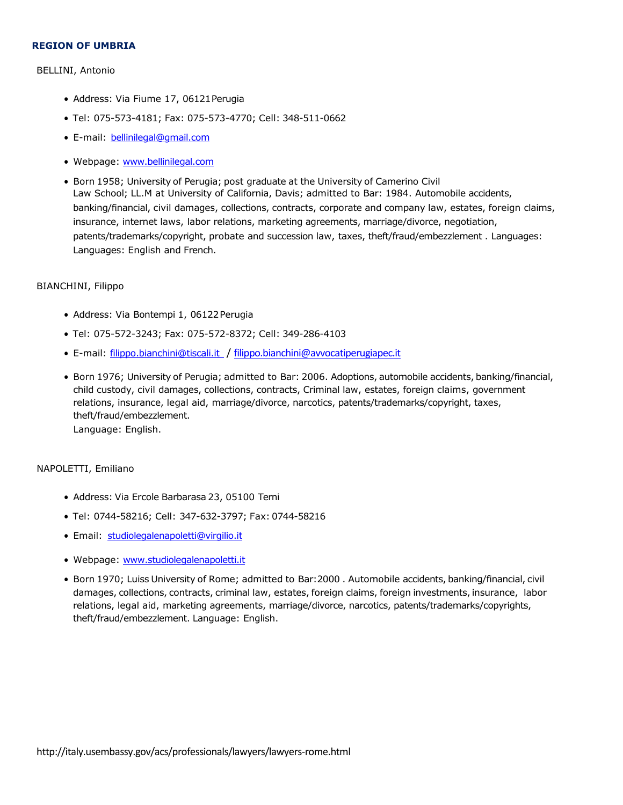#### **REGION OF UMBRIA**

#### BELLINI, Antonio

- Address: Via Fiume 17, 06121Perugia
- Tel: 075-573-4181; Fax: 075-573-4770; Cell: 348-511-0662
- E-mail: [bellinilegal@gmail.co](mailto:bellinilegal@gmail.com)m
- Webpage: [www.bellinilegal.com](http://www.bellinilegal.com/)
- Born 1958; University of Perugia; post graduate at the University of Camerino Civil Law School; LL.M at University of California, Davis; admitted to Bar: 1984. Automobile accidents, banking/financial, civil damages, collections, contracts, corporate and company law, estates, foreign claims, insurance, internet laws, labor relations, marketing agreements, marriage/divorce, negotiation, patents/trademarks/copyright, probate and succession law, taxes, theft/fraud/embezzlement . Languages: Languages: English and French.

#### BIANCHINI, Filippo

- Address: Via Bontempi 1, 06122 Perugia
- Tel: 075-572-3243; Fax: 075-572-8372; Cell: 349-286-4103
- E-mail: [filippo.bianchini@tiscali.i](mailto:filippo.bianchini@tiscali.it)t / [filippo.bianchini@avvocatiperugiapec.it](mailto:filippo.bianchini@avvocatiperugiapec.it)
- Born 1976; University of Perugia; admitted to Bar: 2006. Adoptions, automobile accidents, banking/financial, child custody, civil damages, collections, contracts, Criminal law, estates, foreign claims, government relations, insurance, legal aid, marriage/divorce, narcotics, patents/trademarks/copyright, taxes, theft/fraud/embezzlement. Language: English.

#### NAPOLETTI, Emiliano

- Address: Via Ercole Barbarasa 23, 05100 Terni
- Tel: 0744-58216; Cell: 347-632-3797; Fax: 0744-58216
- Email: [studiolegalenapoletti@virgilio.i](mailto:studiolegalenapoletti@virgilio.it)t
- Webpage: [www.studiolegalenapoletti.it](http://www.studiolegalenapoletti.it/)
- Born 1970; Luiss University of Rome; admitted to Bar:2000 . Automobile accidents, banking/financial, civil damages, collections, contracts, criminal law, estates, foreign claims, foreign investments, insurance, labor relations, legal aid, marketing agreements, marriage/divorce, narcotics, patents/trademarks/copyrights, theft/fraud/embezzlement. Language: English.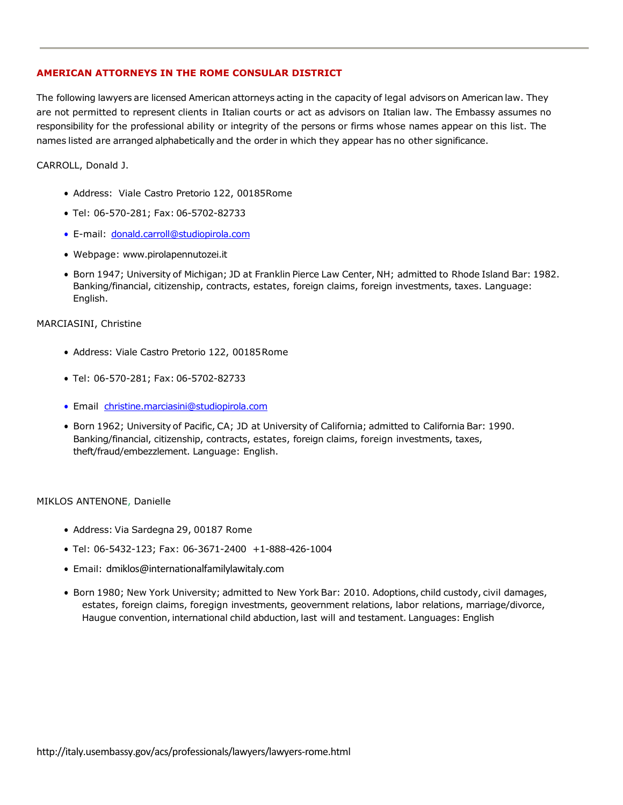## **AMERICAN ATTORNEYS IN THE ROME CONSULAR DISTRICT**

The following lawyers are licensed American attorneys acting in the capacity of legal advisors on American law. They are not permitted to represent clients in Italian courts or act as advisors on Italian law. The Embassy assumes no responsibility for the professional ability or integrity of the persons or firms whose names appear on this list. The names listed are arranged alphabetically and the order in which they appear has no other significance.

CARROLL, Donald J.

- Address: Viale Castro Pretorio 122, 00185Rome
- Tel: 06-570-281; Fax: 06-5702-82733
- E-mail: [donald.carroll@studiopirola.com](mailto:donald.carroll@studiopirola.com)
- Webpage: [www.pirolapennutozei.it](http://www.pirolapennutozei.it/)
- Born 1947; University of Michigan; JD at Franklin Pierce Law Center, NH; admitted to Rhode Island Bar: 1982. Banking/financial, citizenship, contracts, estates, foreign claims, foreign investments, taxes. Language: English.

#### MARCIASINI, Christine

- Address: Viale Castro Pretorio 122, 00185Rome
- Tel: 06-570-281; Fax: 06-5702-82733
- Email [christine.marciasini@studiopirola.com](mailto:christine.marciasini@studiopirola.com)
- Born 1962; University of Pacific, CA; JD at University of California; admitted to California Bar: 1990. Banking/financial, citizenship, contracts, estates, foreign claims, foreign investments, taxes, theft/fraud/embezzlement. Language: English.

#### MIKLOS ANTENONE, Danielle

- Address: Via Sardegna 29, 00187 Rome
- Tel: 06-5432-123; Fax: 06-3671-2400 +1-888-426-1004
- Email: [dmiklos@internationalfamilylawitaly.com](mailto:dmiklos@internationalfamilylawitaly.com)
- Born 1980; New York University; admitted to New York Bar: 2010. Adoptions, child custody, civil damages, estates, foreign claims, foregign investments, geovernment relations, labor relations, marriage/divorce, Haugue convention, international child abduction, last will and testament. Languages: English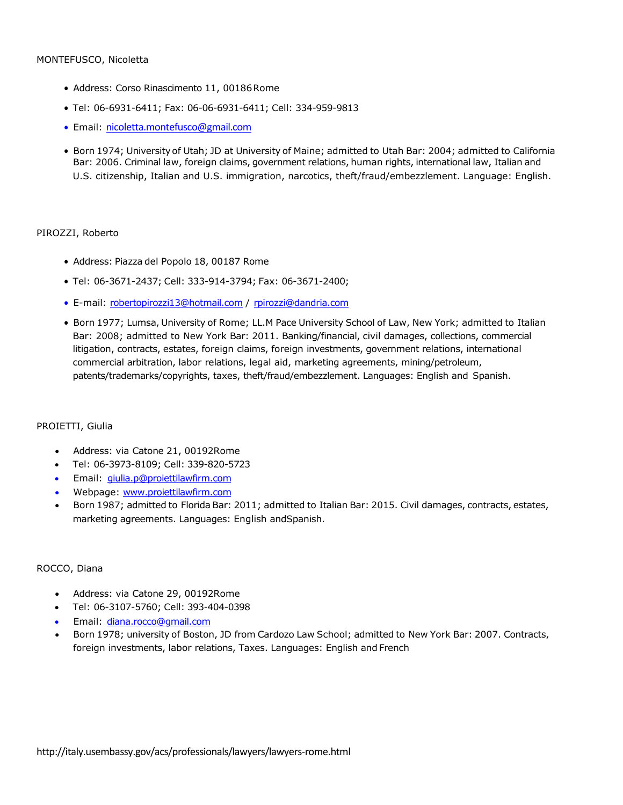#### MONTEFUSCO, Nicoletta

- Address: Corso Rinascimento 11, 00186 Rome
- Tel: 06-6931-6411; Fax: 06-06-6931-6411; Cell: 334-959-9813
- Email: [nicoletta.montefusco@gmail.com](mailto:nicoletta.montefusco@gmail.com)
- Born 1974; University of Utah; JD at University of Maine; admitted to Utah Bar: 2004; admitted to California Bar: 2006. Criminal law, foreign claims, government relations, human rights, international law, Italian and U.S. citizenship, Italian and U.S. immigration, narcotics, theft/fraud/embezzlement. Language: English.

#### PIROZZI, Roberto

- Address: Piazza del Popolo 18, 00187 Rome
- Tel: 06-3671-2437; Cell: 333-914-3794; Fax: 06-3671-2400;
- E-mail: [robertopirozzi13@hotmail.com](mailto:robertopirozzi13@hotmail.com) / [rpirozzi@dandria.com](mailto:rpirozzi@dandria.com)
- Born 1977; Lumsa, University of Rome; LL.M Pace University School of Law, New York; admitted to Italian Bar: 2008; admitted to New York Bar: 2011. Banking/financial, civil damages, collections, commercial litigation, contracts, estates, foreign claims, foreign investments, government relations, international commercial arbitration, labor relations, legal aid, marketing agreements, mining/petroleum, patents/trademarks/copyrights, taxes, theft/fraud/embezzlement. Languages: English and Spanish.

#### PROIETTI, Giulia

- Address: via Catone 21, 00192Rome
- Tel: 06-3973-8109; Cell: 339-820-5723
- Email: [giulia.p@proiettilawfirm.com](mailto:giulia.p@proiettilawfirm.com)
- Webpage: [www.proiettilawfirm.com](http://www.proiettilawfirm.com/)
- Born 1987; admitted to Florida Bar: 2011; admitted to Italian Bar: 2015. Civil damages, contracts, estates, marketing agreements. Languages: English andSpanish.

#### ROCCO, Diana

- Address: via Catone 29, 00192Rome
- Tel: 06-3107-5760; Cell: 393-404-0398
- Email: [diana.rocco@gmail.com](mailto:diana.rocco@gmail.com)
- Born 1978; university of Boston, JD from Cardozo Law School; admitted to New York Bar: 2007. Contracts, foreign investments, labor relations, Taxes. Languages: English and French